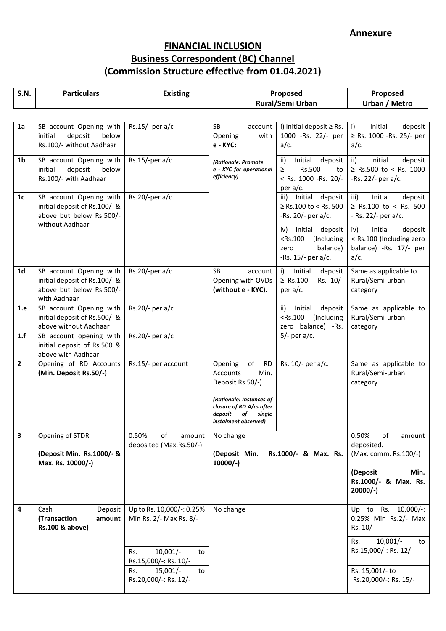| <b>S.N.</b>    | <b>Particulars</b>                                                                                      | <b>Existing</b>                                      |                                                                                                                                                                         | Proposed                                                                                       | Proposed                                                                                |
|----------------|---------------------------------------------------------------------------------------------------------|------------------------------------------------------|-------------------------------------------------------------------------------------------------------------------------------------------------------------------------|------------------------------------------------------------------------------------------------|-----------------------------------------------------------------------------------------|
|                |                                                                                                         |                                                      |                                                                                                                                                                         | Rural/Semi Urban                                                                               | Urban / Metro                                                                           |
|                |                                                                                                         |                                                      |                                                                                                                                                                         |                                                                                                |                                                                                         |
| 1a             | SB account Opening with<br>initial<br>deposit<br>below<br>Rs.100/- without Aadhaar                      | Rs.15/- per a/c                                      | <b>SB</b><br>account<br>Opening<br>with<br>e - KYC:                                                                                                                     | i) Initial deposit $\geq$ Rs.<br>1000 - Rs. 22/- per<br>$a/c$ .                                | $\mathbf{i}$<br>Initial<br>deposit<br>≥ Rs. 1000 - Rs. 25/- per<br>$a/c$ .              |
| 1 <sub>b</sub> | SB account Opening with<br>deposit<br>below<br>initial<br>Rs.100/- with Aadhaar                         | $Rs.15/-per a/c$                                     | (Rationale: Promote<br>e - KYC for operational<br>efficiency)                                                                                                           | Initial<br>ii)<br>deposit<br>Rs.500<br>≥<br>to<br>< Rs. 1000 - Rs. 20/-<br>per a/c.            | Initial<br>ii)<br>deposit<br>$\ge$ Rs.500 to < Rs. 1000<br>-Rs. 22/- per $a/c$ .        |
| 1 <sub>c</sub> | SB account Opening with<br>initial deposit of Rs.100/- &<br>above but below Rs.500/-<br>without Aadhaar | $Rs.20$ /-per a/c                                    |                                                                                                                                                                         | Initial deposit<br>iii)<br>≥ Rs.100 to < Rs. 500<br>-Rs. $20/-$ per a/c.                       | Initial<br>iii)<br>deposit<br>≥ Rs.100 to < Rs. 500<br>$-Rs. 22/-$ per a/c.             |
|                |                                                                                                         |                                                      |                                                                                                                                                                         | Initial deposit<br>iv)<br>$<$ Rs.100<br>(Including<br>balance)<br>zero<br>-Rs. $15/-$ per a/c. | iv)<br>Initial<br>deposit<br>< Rs.100 (Including zero<br>balance) -Rs. 17/- per<br>a/c. |
| 1 <sub>d</sub> | SB account Opening with<br>initial deposit of Rs.100/- &<br>above but below Rs.500/-<br>with Aadhaar    | $Rs.20$ /-per a/c                                    | <b>SB</b><br>account<br>Opening with OVDs<br>(without e - KYC).                                                                                                         | Initial<br>i)<br>deposit<br>$\ge$ Rs.100 - Rs. 10/-<br>per $a/c$ .                             | Same as applicable to<br>Rural/Semi-urban<br>category                                   |
| 1.e            | SB account Opening with<br>initial deposit of Rs.500/- &<br>above without Aadhaar                       | Rs.20/- per a/c                                      |                                                                                                                                                                         | deposit<br>Initial<br>ii)<br>$<$ Rs.100<br>(Including<br>zero balance) -Rs.<br>$5/-$ per a/c.  | Same as applicable to<br>Rural/Semi-urban<br>category                                   |
| 1.f            | SB account opening with<br>initial deposit of Rs.500 &<br>above with Aadhaar                            | Rs.20/- per a/c                                      |                                                                                                                                                                         |                                                                                                |                                                                                         |
| $\overline{2}$ | Opening of RD Accounts<br>(Min. Deposit Rs.50/-)                                                        | Rs.15/- per account                                  | of<br>Opening<br><b>RD</b><br>Accounts<br>Min.<br>Deposit Rs.50/-)<br>(Rationale: Instances of<br>closure of RD A/cs after<br>deposit of single<br>instalment observed) | Rs. 10/- per a/c.                                                                              | Same as applicable to<br>Rural/Semi-urban<br>category                                   |
| 3              | Opening of STDR<br>(Deposit Min. Rs.1000/- &                                                            | 0.50%<br>of<br>amount<br>deposited (Max.Rs.50/-)     | No change<br>Rs.1000/- & Max. Rs.<br>(Deposit Min.                                                                                                                      |                                                                                                | 0.50%<br>of<br>amount<br>deposited.<br>(Max. comm. Rs.100/-)                            |
|                | Max. Rs. 10000/-)                                                                                       |                                                      | $10000/-$                                                                                                                                                               |                                                                                                | (Deposit<br>Min.<br>Rs.1000/- & Max. Rs.<br>$20000/-$                                   |
| 4              | Cash<br>Deposit<br>(Transaction<br>amount<br>Rs.100 & above)                                            | Up to Rs. 10,000/-: 0.25%<br>Min Rs. 2/- Max Rs. 8/- | No change                                                                                                                                                               |                                                                                                | Up to Rs. 10,000/-:<br>0.25% Min Rs.2/- Max<br>Rs. 10/-                                 |
|                |                                                                                                         | $10,001/-$<br>Rs.<br>to<br>Rs.15,000/-: Rs. 10/-     |                                                                                                                                                                         |                                                                                                | $10,001/-$<br>Rs.<br>to<br>Rs.15,000/-: Rs. 12/-                                        |
|                |                                                                                                         | $15,001/-$<br>Rs.<br>to<br>Rs.20,000/-: Rs. 12/-     |                                                                                                                                                                         |                                                                                                | Rs. 15,001/- to<br>Rs.20,000/-: Rs. 15/-                                                |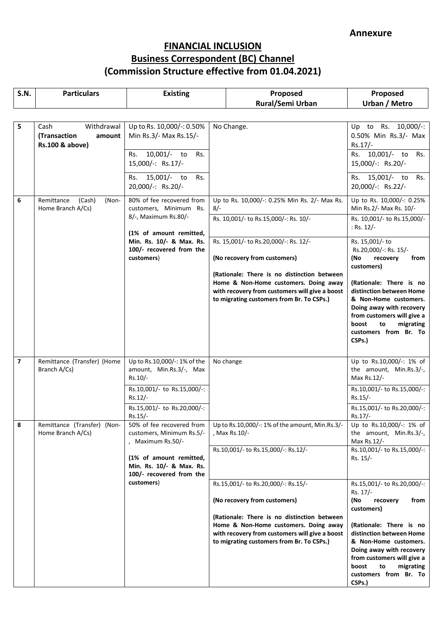| <b>S.N.</b>    | <b>Particulars</b>                                              | <b>Existing</b>                                                                                                                                         | Proposed                                                                                                                                                                            | Proposed                                                                                                                                                                                              |
|----------------|-----------------------------------------------------------------|---------------------------------------------------------------------------------------------------------------------------------------------------------|-------------------------------------------------------------------------------------------------------------------------------------------------------------------------------------|-------------------------------------------------------------------------------------------------------------------------------------------------------------------------------------------------------|
|                |                                                                 |                                                                                                                                                         | Rural/Semi Urban                                                                                                                                                                    | <b>Urban / Metro</b>                                                                                                                                                                                  |
| 5              | Withdrawal<br>Cash<br>(Transaction<br>amount<br>Rs.100 & above) | Up to Rs. 10,000/-: 0.50%<br>Min Rs.3/- Max Rs.15/-<br>10,001/- to<br>Rs.<br>Rs.<br>15,000/-: Rs.17/-<br>15,001/- to<br>Rs.<br>Rs.<br>20,000/-: Rs.20/- | No Change.                                                                                                                                                                          | Up to Rs. 10,000/-:<br>0.50% Min Rs.3/- Max<br>Rs.17/-<br>10,001/- to<br>Rs.<br>Rs.<br>15,000/-: Rs.20/-<br>Rs. 15,001/- to<br>Rs.<br>20,000/-: Rs.22/-                                               |
| 6              | Remittance<br>(Cash)<br>(Non-<br>Home Branch A/Cs)              | 80% of fee recovered from<br>customers, Minimum Rs.                                                                                                     | Up to Rs. 10,000/-: 0.25% Min Rs. 2/- Max Rs.<br>$8/-$                                                                                                                              | Up to Rs. 10,000/-: 0.25%<br>Min Rs.2/- Max Rs. 10/-                                                                                                                                                  |
|                |                                                                 | 8/-, Maximum Rs.80/-<br>(1% of amount remitted,                                                                                                         | Rs. 10,001/- to Rs.15,000/-: Rs. 10/-                                                                                                                                               | Rs. 10,001/- to Rs.15,000/-<br>: Rs. $12/-$                                                                                                                                                           |
|                |                                                                 | Min. Rs. 10/- & Max. Rs.<br>100/- recovered from the<br>customers)                                                                                      | Rs. 15,001/- to Rs.20,000/-: Rs. 12/-<br>(No recovery from customers)                                                                                                               | Rs. 15,001/- to<br>Rs.20,000/-: Rs. 15/-<br>(No<br>recovery<br>from<br>customers)                                                                                                                     |
|                |                                                                 |                                                                                                                                                         | (Rationale: There is no distinction between<br>Home & Non-Home customers. Doing away<br>with recovery from customers will give a boost<br>to migrating customers from Br. To CSPs.) | (Rationale: There is no<br>distinction between Home<br>& Non-Home customers.<br>Doing away with recovery<br>from customers will give a<br>boost<br>migrating<br>to<br>customers from Br. To<br>CSPs.) |
| $\overline{7}$ | Remittance (Transfer) (Home<br>Branch A/Cs)                     | Up to Rs.10,000/-: 1% of the<br>amount, Min.Rs.3/-, Max<br>Rs.10/-                                                                                      | No change                                                                                                                                                                           | Up to Rs.10,000/-: 1% of<br>the amount, Min.Rs.3/-,<br>Max Rs.12/-                                                                                                                                    |
|                |                                                                 | Rs.10,001/- to Rs.15,000/-:<br>Rs.12/-                                                                                                                  |                                                                                                                                                                                     | Rs.10,001/- to Rs.15,000/-:<br>Rs.15/-                                                                                                                                                                |
|                |                                                                 | Rs.15,001/- to Rs.20,000/-:<br>$Rs.15/-$                                                                                                                |                                                                                                                                                                                     | Rs.15,001/- to Rs.20,000/-:<br>Rs.17/-                                                                                                                                                                |
| 8              | Remittance (Transfer) (Non-<br>Home Branch A/Cs)                | 50% of fee recovered from<br>customers, Minimum Rs.5/-<br>, Maximum Rs.50/-                                                                             | Up to Rs.10,000/-: 1% of the amount, Min.Rs.3/-<br>, Max Rs.10/-                                                                                                                    | Up to Rs.10,000/-: 1% of<br>the amount, Min.Rs.3/-,<br>Max $Rs.12/-$                                                                                                                                  |
|                |                                                                 | (1% of amount remitted,<br>Min. Rs. 10/- & Max. Rs.<br>100/- recovered from the                                                                         | Rs.10,001/- to Rs.15,000/-: Rs.12/-                                                                                                                                                 | Rs.10,001/- to Rs.15,000/-:<br>Rs. 15/-                                                                                                                                                               |
|                |                                                                 | customers)                                                                                                                                              | Rs.15,001/- to Rs.20,000/-: Rs.15/-                                                                                                                                                 | Rs.15,001/- to Rs.20,000/-:<br>Rs. 17/-                                                                                                                                                               |
|                |                                                                 |                                                                                                                                                         | (No recovery from customers)                                                                                                                                                        | (No<br>recovery<br>from<br>customers)                                                                                                                                                                 |
|                |                                                                 |                                                                                                                                                         | (Rationale: There is no distinction between<br>Home & Non-Home customers. Doing away<br>with recovery from customers will give a boost<br>to migrating customers from Br. To CSPs.) | (Rationale: There is no<br>distinction between Home<br>& Non-Home customers.<br>Doing away with recovery<br>from customers will give a<br>boost<br>to<br>migrating<br>customers from Br. To<br>CSPs.) |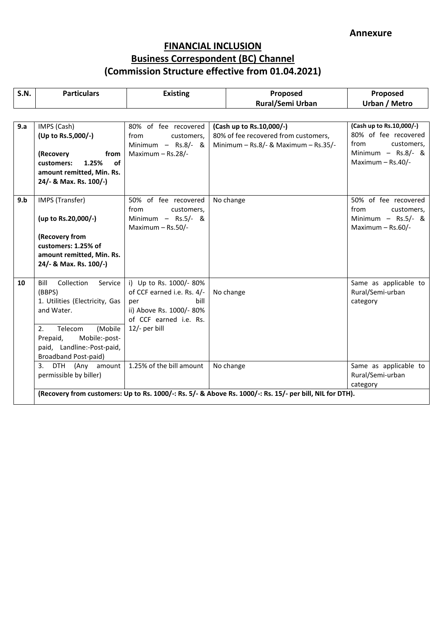| <b>S.N.</b> | <b>Particulars</b>                                                                                                 | <b>Existing</b>                                                                                                           | Proposed                                                                                                     | Proposed                                                               |
|-------------|--------------------------------------------------------------------------------------------------------------------|---------------------------------------------------------------------------------------------------------------------------|--------------------------------------------------------------------------------------------------------------|------------------------------------------------------------------------|
|             |                                                                                                                    |                                                                                                                           | Rural/Semi Urban                                                                                             | <b>Urban / Metro</b>                                                   |
|             |                                                                                                                    |                                                                                                                           |                                                                                                              |                                                                        |
| 9.a         | IMPS (Cash)<br>(Up to Rs.5,000/-)                                                                                  | 80% of fee recovered<br>customers.<br>from<br>Minimum $-$ Rs.8/- &                                                        | (Cash up to Rs.10,000/-)<br>80% of fee recovered from customers,<br>Minimum $-$ Rs.8/- & Maximum $-$ Rs.35/- | (Cash up to Rs.10,000/-)<br>80% of fee recovered<br>from<br>customers, |
|             | (Recovery<br>from<br>of<br>customers:<br>1.25%<br>amount remitted, Min. Rs.<br>24/- & Max. Rs. 100/-)              | Maximum $-$ Rs.28/-                                                                                                       |                                                                                                              | Minimum $-$ Rs.8/- &<br>Maximum - Rs.40/-                              |
| 9.b         | IMPS (Transfer)                                                                                                    | 50% of fee recovered<br>from<br>customers,                                                                                | No change                                                                                                    | 50% of fee recovered<br>from<br>customers,                             |
|             | (up to Rs.20,000/-)                                                                                                | Minimum $-$ Rs.5/- &<br>Maximum $-$ Rs.50/-                                                                               |                                                                                                              | Minimum $-$ Rs.5/- &<br>Maximum $-$ Rs.60/-                            |
|             | (Recovery from<br>customers: 1.25% of<br>amount remitted, Min. Rs.<br>24/- & Max. Rs. 100/-)                       |                                                                                                                           |                                                                                                              |                                                                        |
| 10          | Bill<br>Collection<br>Service<br>(BBPS)<br>1. Utilities (Electricity, Gas<br>and Water.                            | i) Up to Rs. 1000/-80%<br>of CCF earned i.e. Rs. 4/-<br>bill<br>per<br>ii) Above Rs. 1000/- 80%<br>of CCF earned i.e. Rs. | No change                                                                                                    | Same as applicable to<br>Rural/Semi-urban<br>category                  |
|             | (Mobile<br>2.<br>Telecom<br>Prepaid,<br>Mobile:-post-<br>paid, Landline:-Post-paid,<br><b>Broadband Post-paid)</b> | 12/- per bill                                                                                                             |                                                                                                              |                                                                        |
|             | 3.<br>DTH (Any amount<br>permissible by biller)                                                                    | 1.25% of the bill amount                                                                                                  | No change                                                                                                    | Same as applicable to<br>Rural/Semi-urban<br>category                  |
|             |                                                                                                                    |                                                                                                                           | (Recovery from customers: Up to Rs. 1000/-: Rs. 5/- & Above Rs. 1000/-: Rs. 15/- per bill, NIL for DTH).     |                                                                        |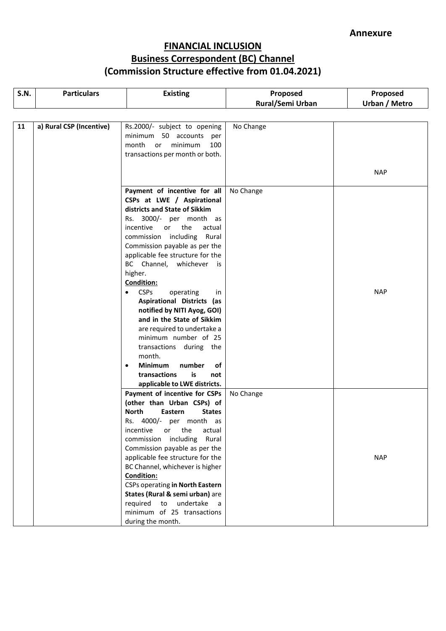| <b>S.N.</b> | <b>Particulars</b>       | <b>Existing</b>                                                                                                                                                                                                                                                                                                                                                                                                                                                                                                                                                                                                                                                                | Proposed         | Proposed      |
|-------------|--------------------------|--------------------------------------------------------------------------------------------------------------------------------------------------------------------------------------------------------------------------------------------------------------------------------------------------------------------------------------------------------------------------------------------------------------------------------------------------------------------------------------------------------------------------------------------------------------------------------------------------------------------------------------------------------------------------------|------------------|---------------|
|             |                          |                                                                                                                                                                                                                                                                                                                                                                                                                                                                                                                                                                                                                                                                                | Rural/Semi Urban | Urban / Metro |
|             |                          |                                                                                                                                                                                                                                                                                                                                                                                                                                                                                                                                                                                                                                                                                |                  |               |
| 11          | a) Rural CSP (Incentive) | Rs.2000/- subject to opening<br>minimum 50 accounts per<br>month<br>minimum<br>100<br>or<br>transactions per month or both.                                                                                                                                                                                                                                                                                                                                                                                                                                                                                                                                                    | No Change        |               |
|             |                          |                                                                                                                                                                                                                                                                                                                                                                                                                                                                                                                                                                                                                                                                                |                  | <b>NAP</b>    |
|             |                          | Payment of incentive for all<br>CSPs at LWE / Aspirational<br>districts and State of Sikkim<br>Rs. 3000/- per month as<br>incentive<br>or<br>the<br>actual<br>commission including<br>Rural<br>Commission payable as per the<br>applicable fee structure for the<br>BC Channel, whichever is<br>higher.<br><b>Condition:</b><br><b>CSPs</b><br>operating<br>$\bullet$<br>in<br>Aspirational Districts (as<br>notified by NITI Ayog, GOI)<br>and in the State of Sikkim<br>are required to undertake a<br>minimum number of 25<br>transactions during the<br>month.<br><b>Minimum</b><br>number<br>of<br>$\bullet$<br>transactions<br>is<br>not<br>applicable to LWE districts. | No Change        | <b>NAP</b>    |
|             |                          | Payment of incentive for CSPs<br>(other than Urban CSPs) of<br><b>North</b><br>Eastern<br><b>States</b><br>Rs. 4000/- per month as<br>incentive<br>actual<br>the<br>or<br>commission including<br>Rural<br>Commission payable as per the<br>applicable fee structure for the<br>BC Channel, whichever is higher<br><b>Condition:</b><br><b>CSPs operating in North Eastern</b><br>States (Rural & semi urban) are<br>required<br>to undertake a<br>minimum of 25 transactions<br>during the month.                                                                                                                                                                             | No Change        | <b>NAP</b>    |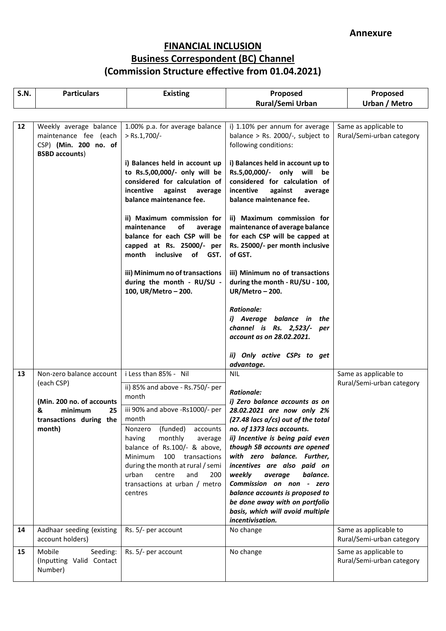| <b>S.N.</b> | <b>Particulars</b>                                                                                                             | <b>Existing</b>                                                                                                                                                                                                                                                                                                                                                                                                                                                       | Proposed                                                                                                                                                                                                                                                                                                                                                                                                                                                                                                                                                                                                             | Proposed                                           |
|-------------|--------------------------------------------------------------------------------------------------------------------------------|-----------------------------------------------------------------------------------------------------------------------------------------------------------------------------------------------------------------------------------------------------------------------------------------------------------------------------------------------------------------------------------------------------------------------------------------------------------------------|----------------------------------------------------------------------------------------------------------------------------------------------------------------------------------------------------------------------------------------------------------------------------------------------------------------------------------------------------------------------------------------------------------------------------------------------------------------------------------------------------------------------------------------------------------------------------------------------------------------------|----------------------------------------------------|
|             |                                                                                                                                |                                                                                                                                                                                                                                                                                                                                                                                                                                                                       | Rural/Semi Urban                                                                                                                                                                                                                                                                                                                                                                                                                                                                                                                                                                                                     | Urban / Metro                                      |
| 12          | Weekly average balance<br>maintenance fee (each<br>CSP) (Min. 200 no. of<br><b>BSBD</b> accounts)                              | 1.00% p.a. for average balance<br>$>$ Rs.1,700/-<br>i) Balances held in account up<br>to Rs.5,00,000/- only will be<br>considered for calculation of<br>against<br>incentive<br>average<br>balance maintenance fee.<br>ii) Maximum commission for<br>maintenance<br>of<br>average<br>balance for each CSP will be<br>capped at Rs. 25000/- per<br>month<br>inclusive of GST.<br>iii) Minimum no of transactions<br>during the month - RU/SU -<br>100, UR/Metro - 200. | i) 1.10% per annum for average<br>balance > Rs. 2000/-, subject to<br>following conditions:<br>i) Balances held in account up to<br>Rs.5,00,000/- only will be<br>considered for calculation of<br>incentive<br>against<br>average<br>balance maintenance fee.<br>ii) Maximum commission for<br>maintenance of average balance<br>for each CSP will be capped at<br>Rs. 25000/- per month inclusive<br>of GST.<br>iii) Minimum no of transactions<br>during the month - RU/SU - 100,<br>UR/Metro - 200.<br><b>Rationale:</b><br>i) Average balance in the<br>channel is Rs. 2,523/- per<br>account as on 28.02.2021. | Same as applicable to<br>Rural/Semi-urban category |
|             |                                                                                                                                |                                                                                                                                                                                                                                                                                                                                                                                                                                                                       | ii) Only active CSPs to get<br>advantage.                                                                                                                                                                                                                                                                                                                                                                                                                                                                                                                                                                            |                                                    |
| 13          | Non-zero balance account<br>(each CSP)<br>(Min. 200 no. of accounts<br>&<br>minimum<br>25<br>transactions during the<br>month) | i Less than 85% - Nil<br>ii) 85% and above - Rs.750/- per<br>month<br>iii 90% and above -Rs1000/- per<br>month<br>(funded)<br>Nonzero<br>accounts<br>monthly<br>having<br>average<br>balance of Rs.100/- & above,<br>100 transactions<br>Minimum<br>during the month at rural / semi<br>urban<br>centre<br>and<br>200<br>transactions at urban / metro<br>centres                                                                                                     | <b>NIL</b><br><b>Rationale:</b><br>i) Zero balance accounts as on<br>28.02.2021 are now only 2%<br>(27.48 lacs a/cs) out of the total<br>no. of 1373 lacs accounts.<br>ii) Incentive is being paid even<br>though SB accounts are opened<br>with zero balance. Further,<br>incentives are also paid on<br>weekly<br>average<br>balance.<br>Commission on non - zero<br>balance accounts is proposed to<br>be done away with on portfolio<br>basis, which will avoid multiple<br>incentivisation.                                                                                                                     | Same as applicable to<br>Rural/Semi-urban category |
| 14          | Aadhaar seeding (existing<br>account holders)                                                                                  | Rs. 5/- per account                                                                                                                                                                                                                                                                                                                                                                                                                                                   | No change                                                                                                                                                                                                                                                                                                                                                                                                                                                                                                                                                                                                            | Same as applicable to<br>Rural/Semi-urban category |
| 15          | Mobile<br>Seeding:<br>(Inputting Valid Contact<br>Number)                                                                      | Rs. 5/- per account                                                                                                                                                                                                                                                                                                                                                                                                                                                   | No change                                                                                                                                                                                                                                                                                                                                                                                                                                                                                                                                                                                                            | Same as applicable to<br>Rural/Semi-urban category |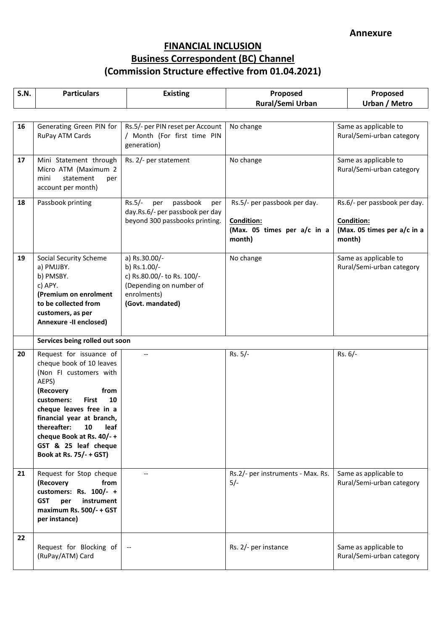| <b>S.N.</b> | <b>Particulars</b>                                                                                                                                                                                                                                                                                                  | <b>Existing</b>                                                                                                           | Proposed                                                                                   | Proposed                                                                                   |
|-------------|---------------------------------------------------------------------------------------------------------------------------------------------------------------------------------------------------------------------------------------------------------------------------------------------------------------------|---------------------------------------------------------------------------------------------------------------------------|--------------------------------------------------------------------------------------------|--------------------------------------------------------------------------------------------|
|             |                                                                                                                                                                                                                                                                                                                     |                                                                                                                           | <b>Rural/Semi Urban</b>                                                                    | <b>Urban / Metro</b>                                                                       |
| 16          | Generating Green PIN for                                                                                                                                                                                                                                                                                            | Rs.5/- per PIN reset per Account                                                                                          | No change                                                                                  | Same as applicable to                                                                      |
|             | RuPay ATM Cards                                                                                                                                                                                                                                                                                                     | / Month (For first time PIN<br>generation)                                                                                |                                                                                            | Rural/Semi-urban category                                                                  |
| 17          | Mini Statement through<br>Micro ATM (Maximum 2<br>statement<br>mini<br>per<br>account per month)                                                                                                                                                                                                                    | Rs. 2/- per statement                                                                                                     | No change                                                                                  | Same as applicable to<br>Rural/Semi-urban category                                         |
| 18          | Passbook printing                                                                                                                                                                                                                                                                                                   | $Rs.5/-$<br>passbook<br>per<br>per<br>day.Rs.6/- per passbook per day<br>beyond 300 passbooks printing.                   | Rs.5/- per passbook per day.<br><b>Condition:</b><br>(Max. 05 times per a/c in a<br>month) | Rs.6/- per passbook per day.<br><b>Condition:</b><br>(Max. 05 times per a/c in a<br>month) |
| 19          | Social Security Scheme<br>a) PMJJBY.<br>b) PMSBY.<br>c) APY.<br>(Premium on enrolment<br>to be collected from<br>customers, as per<br>Annexure -II enclosed)                                                                                                                                                        | a) Rs.30.00/-<br>b) Rs.1.00/-<br>c) Rs.80.00/- to Rs. 100/-<br>(Depending on number of<br>enrolments)<br>(Govt. mandated) | No change                                                                                  | Same as applicable to<br>Rural/Semi-urban category                                         |
|             | Services being rolled out soon                                                                                                                                                                                                                                                                                      |                                                                                                                           |                                                                                            |                                                                                            |
| 20          | Request for issuance of<br>cheque book of 10 leaves<br>(Non FI customers with<br>AEPS)<br>(Recovery<br>from<br><b>First</b><br>customers:<br>10<br>cheque leaves free in a<br>financial year at branch,<br>thereafter:<br>10<br>leaf<br>cheque Book at Rs. 40/-+<br>GST & 25 leaf cheque<br>Book at Rs. 75/- + GST) |                                                                                                                           | Rs. 5/-                                                                                    | $Rs. 6/-$                                                                                  |
| 21          | Request for Stop cheque<br>(Recovery<br>from<br>customers: Rs. 100/- +<br><b>GST</b><br>instrument<br>per<br>maximum Rs. 500/- + GST<br>per instance)                                                                                                                                                               |                                                                                                                           | Rs.2/- per instruments - Max. Rs.<br>$5/-$                                                 | Same as applicable to<br>Rural/Semi-urban category                                         |
| 22          | Request for Blocking of<br>(RuPay/ATM) Card                                                                                                                                                                                                                                                                         |                                                                                                                           | Rs. 2/- per instance                                                                       | Same as applicable to<br>Rural/Semi-urban category                                         |